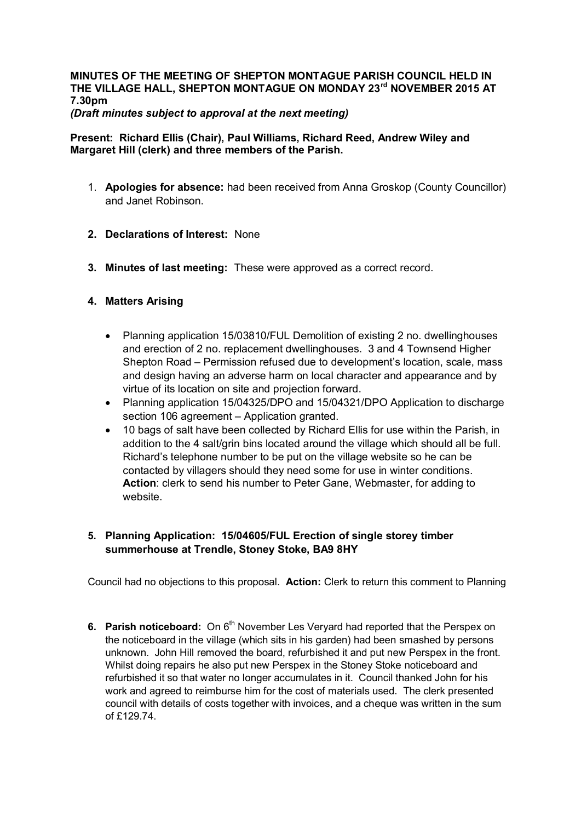#### **MINUTES OF THE MEETING OF SHEPTON MONTAGUE PARISH COUNCIL HELD IN THE VILLAGE HALL, SHEPTON MONTAGUE ON MONDAY 23rd NOVEMBER 2015 AT 7.30pm** *(Draft minutes subject to approval at the next meeting)*

## **Present: Richard Ellis (Chair), Paul Williams, Richard Reed, Andrew Wiley and Margaret Hill (clerk) and three members of the Parish.**

- 1. **Apologies for absence:** had been received from Anna Groskop (County Councillor) and Janet Robinson.
- **2. Declarations of Interest:** None
- **3. Minutes of last meeting:** These were approved as a correct record.

# **4. Matters Arising**

- · Planning application 15/03810/FUL Demolition of existing 2 no. dwellinghouses and erection of 2 no. replacement dwellinghouses. 3 and 4 Townsend Higher Shepton Road – Permission refused due to development's location, scale, mass and design having an adverse harm on local character and appearance and by virtue of its location on site and projection forward.
- · Planning application 15/04325/DPO and 15/04321/DPO Application to discharge section 106 agreement – Application granted.
- · 10 bags of salt have been collected by Richard Ellis for use within the Parish, in addition to the 4 salt/grin bins located around the village which should all be full. Richard's telephone number to be put on the village website so he can be contacted by villagers should they need some for use in winter conditions. **Action**: clerk to send his number to Peter Gane, Webmaster, for adding to website.

# **5. Planning Application: 15/04605/FUL Erection of single storey timber summerhouse at Trendle, Stoney Stoke, BA9 8HY**

Council had no objections to this proposal. **Action:** Clerk to return this comment to Planning

**6. Parish noticeboard:** On 6<sup>th</sup> November Les Vervard had reported that the Perspex on the noticeboard in the village (which sits in his garden) had been smashed by persons unknown. John Hill removed the board, refurbished it and put new Perspex in the front. Whilst doing repairs he also put new Perspex in the Stoney Stoke noticeboard and refurbished it so that water no longer accumulates in it. Council thanked John for his work and agreed to reimburse him for the cost of materials used. The clerk presented council with details of costs together with invoices, and a cheque was written in the sum of £129.74.